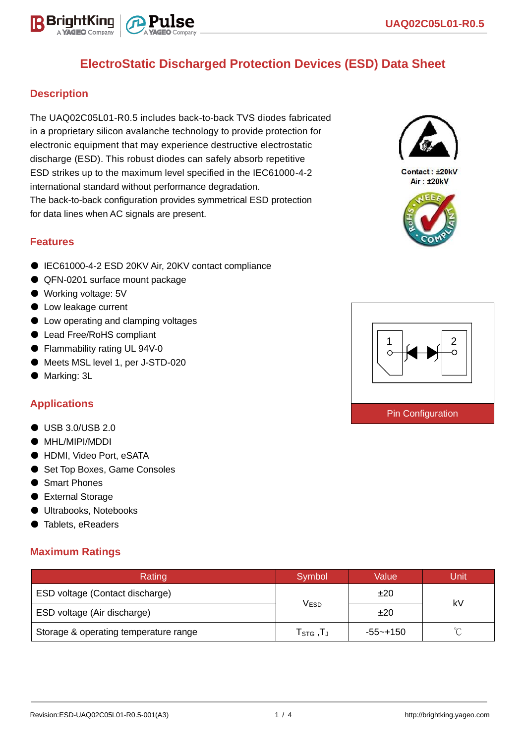

### **Description**

The UAQ02C05L01-R0.5 includes back-to-back TVS diodes fabricated in a proprietary silicon avalanche technology to provide protection for electronic equipment that may experience destructive electrostatic discharge (ESD). This robust diodes can safely absorb repetitive ESD strikes up to the maximum level specified in the IEC61000-4-2 international standard without performance degradation. The back-to-back configuration provides symmetrical ESD protection for data lines when AC signals are present.

### **Features**

- IEC61000-4-2 ESD 20KV Air, 20KV contact compliance
- QFN-0201 surface mount package
- Working voltage: 5V
- Low leakage current
- Low operating and clamping voltages
- Lead Free/RoHS compliant
- Flammability rating UL 94V-0
- Meets MSL level 1, per J-STD-020
- Marking: 3L

### **Applications**

- USB 3.0/USB 2.0
- MHL/MIPI/MDDI
- HDMI, Video Port, eSATA
- Set Top Boxes, Game Consoles
- Smart Phones
- External Storage
- Ultrabooks, Notebooks
- Tablets, eReaders

### **Maximum Ratings**

| Rating                                | Symbol                                           | Value        | Unit   |  |
|---------------------------------------|--------------------------------------------------|--------------|--------|--|
| ESD voltage (Contact discharge)       |                                                  | ±20          | kV     |  |
| ESD voltage (Air discharge)           | V <sub>ESD</sub>                                 | ±20          |        |  |
| Storage & operating temperature range | ${\sf T}_{\mathsf{STG}}\,, {\sf T}_{\mathsf{J}}$ | $-55 - +150$ | $\sim$ |  |



Contact : +20kV Air: ±20kV



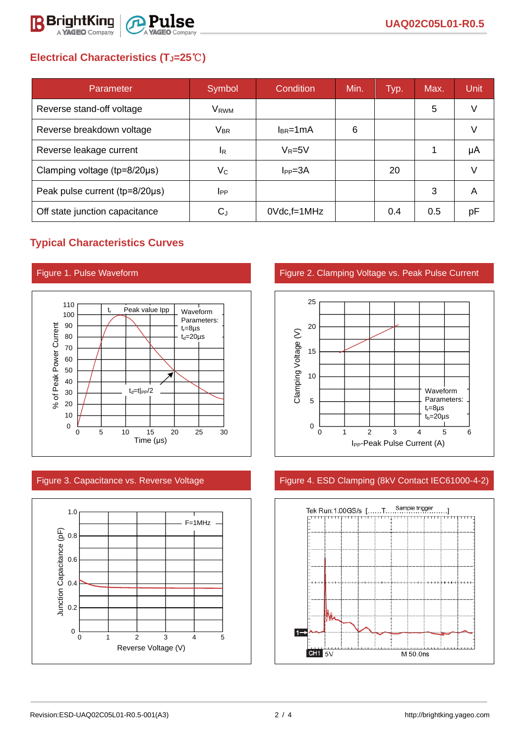

# **Electrical Characteristics (TJ=25**℃**)**

| Parameter                      | Symbol                    | Condition       | Min. | Typ. | Max. | Unit |
|--------------------------------|---------------------------|-----------------|------|------|------|------|
| Reverse stand-off voltage      | V <sub>RWM</sub>          |                 |      |      | 5    |      |
| Reverse breakdown voltage      | $V_{BR}$                  | $I_{BR}$ =1mA   | 6    |      |      |      |
| Reverse leakage current        | IR.                       | $V_R = 5V$      |      |      |      | μA   |
| Clamping voltage (tp=8/20µs)   | $\mathsf{V}_{\mathsf{C}}$ | $I_{PP} = 3A$   |      | 20   |      |      |
| Peak pulse current (tp=8/20µs) | <b>I</b> PP               |                 |      |      | 3    | A    |
| Off state junction capacitance | $C_J$                     | $0Vdc$ , f=1MHz |      | 0.4  | 0.5  | рF   |

## **Typical Characteristics Curves**





Figure 1. Pulse Waveform **Figure 2. Clamping Voltage vs. Peak Pulse Current** 



### Figure 3. Capacitance vs. Reverse Voltage Figure 4. ESD Clamping (8kV Contact IEC61000-4-2)

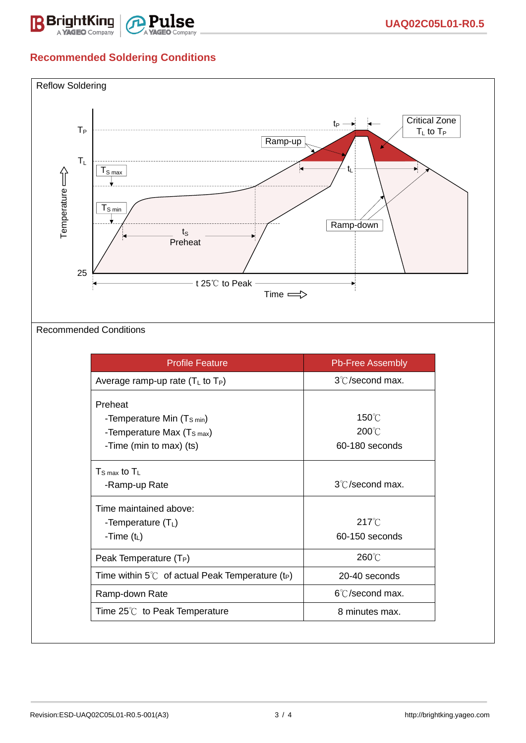

# **Recommended Soldering Conditions**